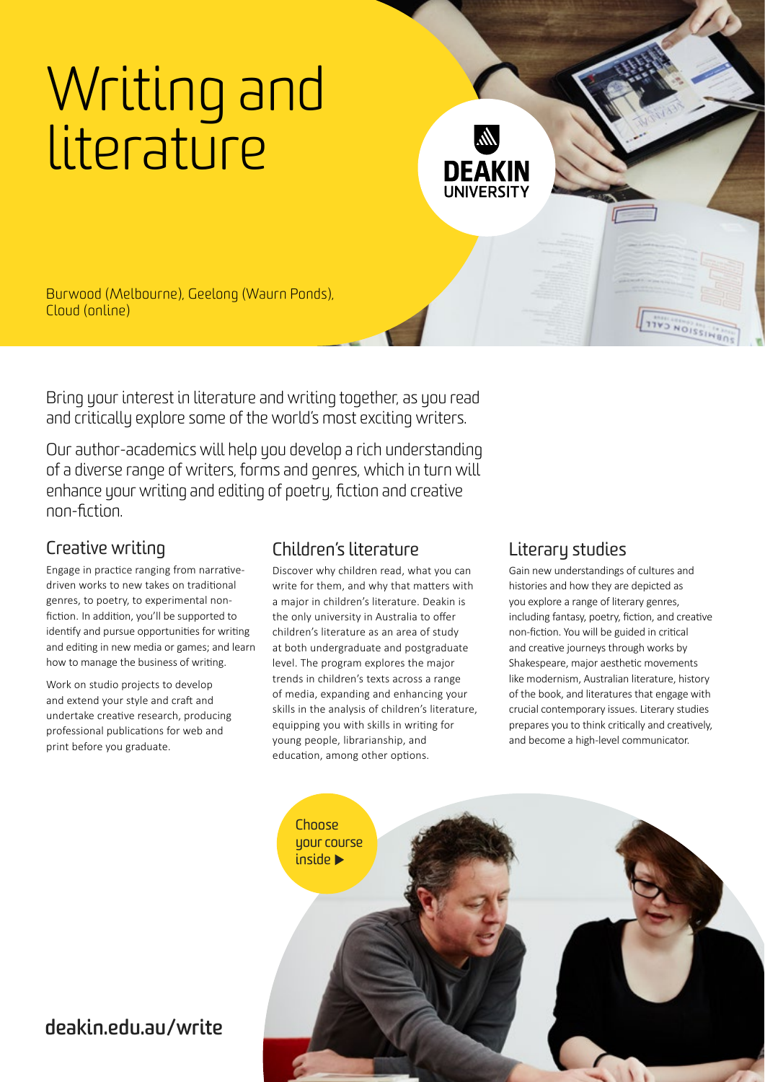## [Writing and](https://www.deakin.edu.au/courses/find-a-course/media-communication-and-creative-arts)  **[literature](https://www.deakin.edu.au/courses/find-a-course/media-communication-and-creative-arts)**

Burwood (Melbourne), Geelong (Waurn Ponds), Cloud (online)

Bring your interest in literature and writing together, as you read and critically explore some of the world's most exciting writers.

Our author-academics will help you develop a rich understanding of a diverse range of writers, forms and genres, which in turn will enhance your writing and editing of poetry, fiction and creative non-fiction.

## [Creative writing](https://www.deakin.edu.au/courses/find-a-course/media-communication-and-creative-arts/professional-and-creative-writing)

Engage in practice ranging from narrativedriven works to new takes on traditional genres, to poetry, to experimental nonfiction. In addition, you'll be supported to identify and pursue opportunities for writing and editing in new media or games; and learn how to manage the business of writing.

Work on studio projects to develop and extend your style and craft and undertake creative research, producing professional publications for web and print before you graduate.

## [Children's literature](https://www.deakin.edu.au/courses/find-a-course/media-communication-and-creative-arts/childrens-literature)

Discover why children read, what you can write for them, and why that matters with a major in children's literature. Deakin is the only university in Australia to offer children's literature as an area of study at both undergraduate and postgraduate level. The program explores the major trends in children's texts across a range of media, expanding and enhancing your skills in the analysis of children's literature, equipping you with skills in writing for young people, librarianship, and education, among other options.

## [Literary studies](https://www.deakin.edu.au/courses/find-a-course/media-communication-and-creative-arts/literary-studies)

DEAKIN

Gain new understandings of cultures and histories and how they are depicted as you explore a range of literary genres, including fantasy, poetry, fiction, and creative non-fiction. You will be guided in critical and creative journeys through works by Shakespeare, major aesthetic movements like modernism, Australian literature, history of the book, and literatures that engage with crucial contemporary issues. Literary studies prepares you to think critically and creatively, and become a high-level communicator.

IVO NOISSIN



## **[deakin.edu.au/write](https://www.deakin.edu.au/courses/find-a-course/media-communication-and-creative-arts)**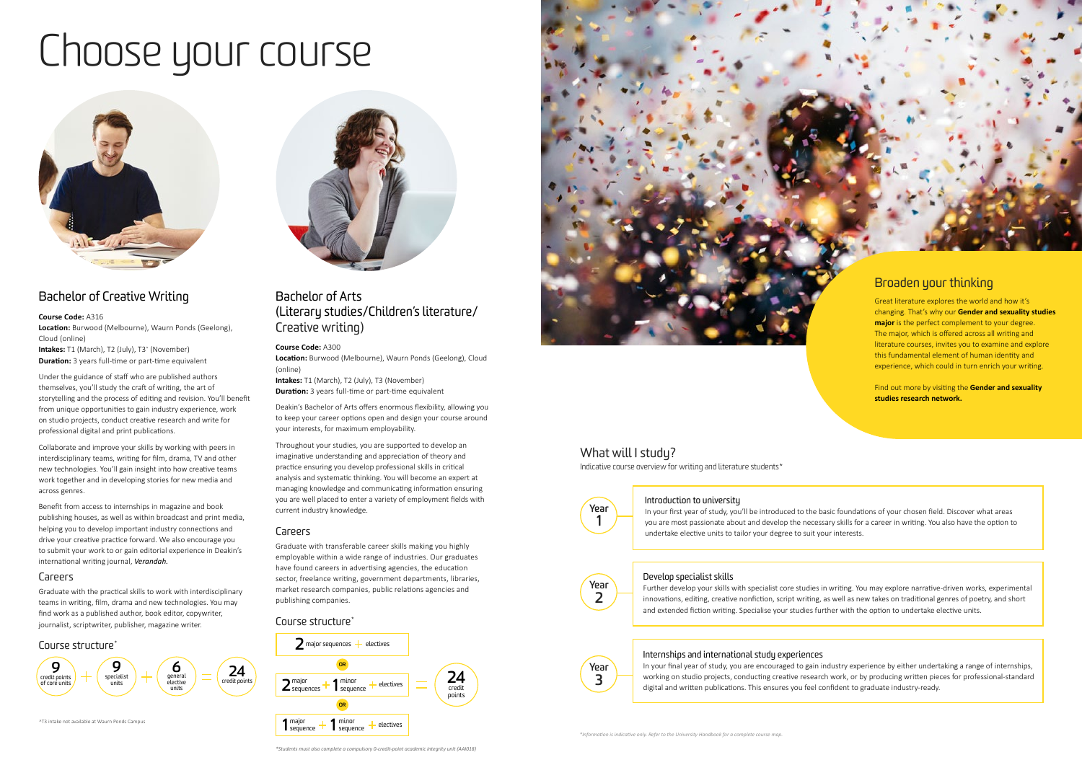# Choose your course



## [Bachelor of Creative Writing](https://www.deakin.edu.au/course/bachelor-creative-writing)

**Course Code:** A316 **Location:** Burwood (Melbourne), Waurn Ponds (Geelong), Cloud (online) **Intakes:** T1 (March), T2 (July), T3^ (November) **Duration:** 3 years full-time or part-time equivalent

Under the guidance of staff who are published authors themselves, you'll study the craft of writing, the art of storytelling and the process of editing and revision. You'll benefit from unique opportunities to gain industry experience, work on studio projects, conduct creative research and write for professional digital and print publications.

Collaborate and improve your skills by working with peers in interdisciplinary teams, writing for film, drama, TV and other new technologies. You'll gain insight into how creative teams work together and in developing stories for new media and across genres.

Benefit from access to internships in magazine and book publishing houses, as well as within broadcast and print media, helping you to develop important industry connections and drive your creative practice forward. We also encourage you to submit your work to or gain editorial experience in Deakin's international writing journal, *[Verandah.](http://www.verandahjournal.com.au)*

#### Careers

Graduate with the practical skills to work with interdisciplinary teams in writing, film, drama and new technologies. You may find work as a published author, book editor, copywriter, journalist, scriptwriter, publisher, magazine writer.

#### Course structure<sup>\*</sup>



^T3 intake not available at Waurn Ponds Campus



## [Bachelor of Arts](https://www.deakin.edu.au/course/bachelor-arts)  [\(Literary studies](https://www.deakin.edu.au/courses/major/literary-studies-bachelor-arts)[/Children's literature/](https://www.deakin.edu.au/courses/major/childrens-literature-bachelor-arts) [Creative writing](https://www.deakin.edu.au/courses/major/creative-writing-bachelor-arts))

#### **Course Code:** A300

**Location:** Burwood (Melbourne), Waurn Ponds (Geelong), Cloud (online)

**Intakes:** T1 (March), T2 (July), T3 (November) **Duration:** 3 years full-time or part-time equivalent

Deakin's Bachelor of Arts offers enormous flexibility, allowing you to keep your career options open and design your course around your interests, for maximum employability.

Throughout your studies, you are supported to develop an imaginative understanding and appreciation of theory and practice ensuring you develop professional skills in critical analysis and systematic thinking. You will become an expert at managing knowledge and communicating information ensuring you are well placed to enter a variety of employment fields with current industry knowledge.

#### Careers

Graduate with transferable career skills making you highly employable within a wide range of industries. Our graduates have found careers in advertising agencies, the education sector, freelance writing, government departments, libraries, market research companies, public relations agencies and publishing companies.

#### Course structure\*





## What will I study?

## Broaden your thinking

Great literature explores the world and how it's changing. That's why our **Gender and sexuality studies major** is the perfect complement to your degree. The major, which is offered across all writing and literature courses, invites you to examine and explore this fundamental element of human identity and experience, which could in turn enrich your writing.

Find out more by visiting the **[Gender and sexuality](https://blogs.deakin.edu.au/gender-and-sexuality-studies-research-network/)  [studies research network.](https://blogs.deakin.edu.au/gender-and-sexuality-studies-research-network/)** 

Indicative course overview for writing and literature students\*



#### Introduction to university

In your first year of study, you'll be introduced to the basic foundations of your chosen field. Discover what areas you are most passionate about and develop the necessary skills for a career in writing. You also have the option to undertake elective units to tailor your degree to suit your interests.



#### Develop specialist skills

Further develop your skills with specialist core studies in writing. You may explore narrative-driven works, experimental innovations, editing, creative nonfiction, script writing, as well as new takes on traditional genres of poetry, and short and extended fiction writing. Specialise your studies further with the option to undertake elective units.

## **Year 3**

Internships and international study experiences In your final year of study, you are encouraged to gain industry experience by either undertaking a range of internships, working on studio projects, conducting creative research work, or by producing written pieces for professional-standard digital and written publications. This ensures you feel confident to graduate industry-ready.